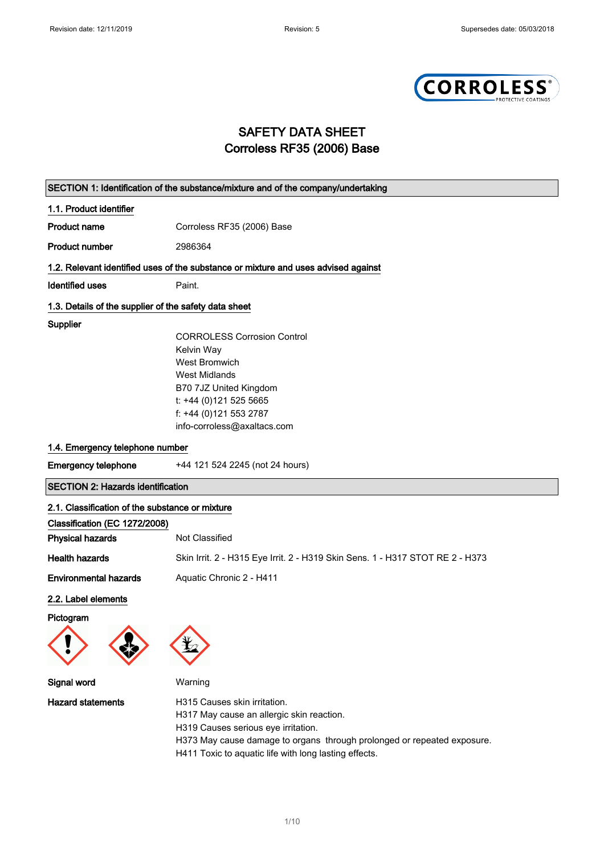

## SAFETY DATA SHEET Corroless RF35 (2006) Base

| SECTION 1: Identification of the substance/mixture and of the company/undertaking  |                                                                               |  |
|------------------------------------------------------------------------------------|-------------------------------------------------------------------------------|--|
| 1.1. Product identifier                                                            |                                                                               |  |
| <b>Product name</b>                                                                | Corroless RF35 (2006) Base                                                    |  |
| <b>Product number</b>                                                              | 2986364                                                                       |  |
| 1.2. Relevant identified uses of the substance or mixture and uses advised against |                                                                               |  |
| <b>Identified uses</b>                                                             | Paint.                                                                        |  |
| 1.3. Details of the supplier of the safety data sheet                              |                                                                               |  |
| Supplier                                                                           |                                                                               |  |
|                                                                                    | <b>CORROLESS Corrosion Control</b>                                            |  |
|                                                                                    | Kelvin Way                                                                    |  |
|                                                                                    | <b>West Bromwich</b>                                                          |  |
|                                                                                    | <b>West Midlands</b>                                                          |  |
|                                                                                    | B70 7JZ United Kingdom                                                        |  |
|                                                                                    | t: +44 (0)121 525 5665                                                        |  |
|                                                                                    | f: +44 (0)121 553 2787                                                        |  |
|                                                                                    | info-corroless@axaltacs.com                                                   |  |
| 1.4. Emergency telephone number                                                    |                                                                               |  |
| <b>Emergency telephone</b>                                                         | +44 121 524 2245 (not 24 hours)                                               |  |
| <b>SECTION 2: Hazards identification</b>                                           |                                                                               |  |
| 2.1. Classification of the substance or mixture                                    |                                                                               |  |
| Classification (EC 1272/2008)                                                      |                                                                               |  |
| <b>Physical hazards</b>                                                            | Not Classified                                                                |  |
| <b>Health hazards</b>                                                              | Skin Irrit. 2 - H315 Eye Irrit. 2 - H319 Skin Sens. 1 - H317 STOT RE 2 - H373 |  |
| <b>Environmental hazards</b>                                                       | Aquatic Chronic 2 - H411                                                      |  |
| 2.2. Label elements                                                                |                                                                               |  |
| Pictogram                                                                          |                                                                               |  |
| Signal word                                                                        | Warning                                                                       |  |
| <b>Hazard statements</b>                                                           | H315 Causes skin irritation.<br>H317 May cause an allergic skin reaction.     |  |

H319 Causes serious eye irritation. H373 May cause damage to organs through prolonged or repeated exposure.

H411 Toxic to aquatic life with long lasting effects.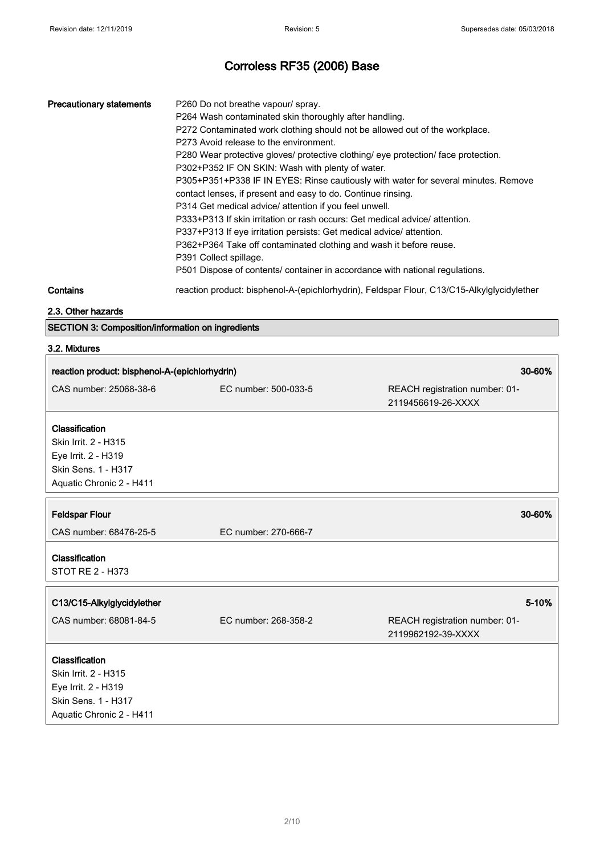| <b>Precautionary statements</b> | P260 Do not breathe vapour/ spray.<br>P264 Wash contaminated skin thoroughly after handling.<br>P272 Contaminated work clothing should not be allowed out of the workplace.<br>P273 Avoid release to the environment.<br>P280 Wear protective gloves/ protective clothing/ eye protection/ face protection.<br>P302+P352 IF ON SKIN: Wash with plenty of water.<br>P305+P351+P338 IF IN EYES: Rinse cautiously with water for several minutes. Remove<br>contact lenses, if present and easy to do. Continue rinsing.<br>P314 Get medical advice/ attention if you feel unwell.<br>P333+P313 If skin irritation or rash occurs: Get medical advice/ attention.<br>P337+P313 If eye irritation persists: Get medical advice/ attention.<br>P362+P364 Take off contaminated clothing and wash it before reuse.<br>P391 Collect spillage.<br>P501 Dispose of contents/ container in accordance with national regulations. |
|---------------------------------|------------------------------------------------------------------------------------------------------------------------------------------------------------------------------------------------------------------------------------------------------------------------------------------------------------------------------------------------------------------------------------------------------------------------------------------------------------------------------------------------------------------------------------------------------------------------------------------------------------------------------------------------------------------------------------------------------------------------------------------------------------------------------------------------------------------------------------------------------------------------------------------------------------------------|
| $\mathbf{A}$                    |                                                                                                                                                                                                                                                                                                                                                                                                                                                                                                                                                                                                                                                                                                                                                                                                                                                                                                                        |

Contains **reaction product: bisphenol-A-(epichlorhydrin)**, Feldspar Flour, C13/C15-Alkylglycidylether

#### 2.3. Other hazards

SECTION 3: Composition/information on ingredients

# 3.2. Mixtures

| reaction product: bisphenol-A-(epichlorhydrin) |                      | 30-60%                                               |
|------------------------------------------------|----------------------|------------------------------------------------------|
| CAS number: 25068-38-6                         | EC number: 500-033-5 | REACH registration number: 01-<br>2119456619-26-XXXX |
| Classification                                 |                      |                                                      |
| Skin Irrit. 2 - H315                           |                      |                                                      |
| Eye Irrit. 2 - H319                            |                      |                                                      |
| Skin Sens. 1 - H317                            |                      |                                                      |
| Aquatic Chronic 2 - H411                       |                      |                                                      |
|                                                |                      |                                                      |
| <b>Feldspar Flour</b>                          |                      | 30-60%                                               |
| CAS number: 68476-25-5                         | EC number: 270-666-7 |                                                      |
| Classification                                 |                      |                                                      |
| <b>STOT RE 2 - H373</b>                        |                      |                                                      |
| C13/C15-Alkylglycidylether                     |                      | $5 - 10%$                                            |
| CAS number: 68081-84-5                         | EC number: 268-358-2 | REACH registration number: 01-                       |
|                                                |                      | 2119962192-39-XXXX                                   |
|                                                |                      |                                                      |
| Classification<br>Skin Irrit. 2 - H315         |                      |                                                      |
| Eye Irrit. 2 - H319                            |                      |                                                      |
| Skin Sens. 1 - H317                            |                      |                                                      |
| Aquatic Chronic 2 - H411                       |                      |                                                      |
|                                                |                      |                                                      |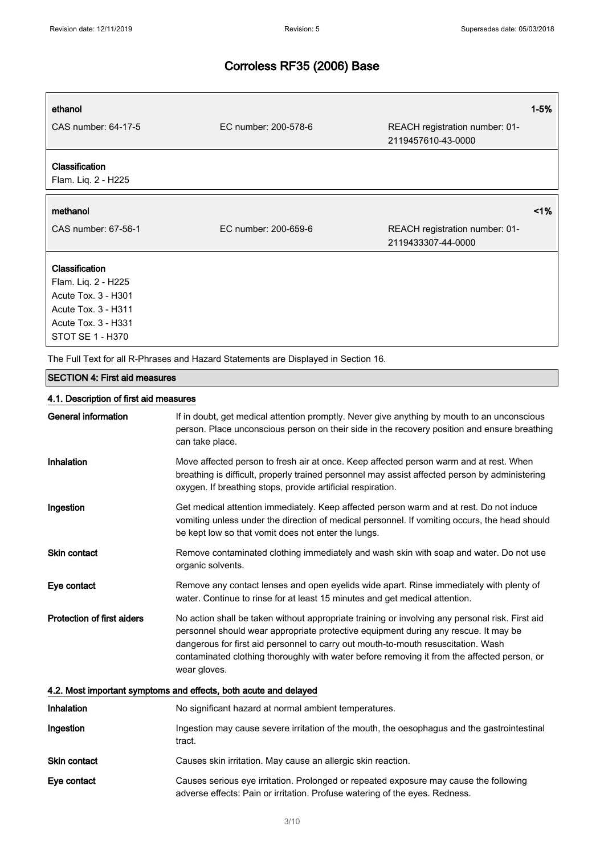$\overline{1}$ 

# Corroless RF35 (2006) Base

| ethanol<br>CAS number: 64-17-5        | EC number: 200-578-6 | REACH registration number: 01-<br>2119457610-43-0000 | $1 - 5%$ |
|---------------------------------------|----------------------|------------------------------------------------------|----------|
| Classification<br>Flam. Liq. 2 - H225 |                      |                                                      |          |
| methanol                              |                      |                                                      | $1\%$    |
| CAS number: 67-56-1                   | EC number: 200-659-6 | REACH registration number: 01-                       |          |
|                                       |                      | 2119433307-44-0000                                   |          |
| <b>Classification</b>                 |                      |                                                      |          |
| Flam. Liq. 2 - H225                   |                      |                                                      |          |
| Acute Tox. 3 - H301                   |                      |                                                      |          |
| Acute Tox. 3 - H311                   |                      |                                                      |          |
| Acute Tox. 3 - H331                   |                      |                                                      |          |

The Full Text for all R-Phrases and Hazard Statements are Displayed in Section 16.

#### SECTION 4: First aid measures

### 4.1. Description of first aid measures

| <b>General information</b>                                       | If in doubt, get medical attention promptly. Never give anything by mouth to an unconscious<br>person. Place unconscious person on their side in the recovery position and ensure breathing<br>can take place.                                                                                                                                                                             |  |
|------------------------------------------------------------------|--------------------------------------------------------------------------------------------------------------------------------------------------------------------------------------------------------------------------------------------------------------------------------------------------------------------------------------------------------------------------------------------|--|
| Inhalation                                                       | Move affected person to fresh air at once. Keep affected person warm and at rest. When<br>breathing is difficult, properly trained personnel may assist affected person by administering<br>oxygen. If breathing stops, provide artificial respiration.                                                                                                                                    |  |
| Ingestion                                                        | Get medical attention immediately. Keep affected person warm and at rest. Do not induce<br>vomiting unless under the direction of medical personnel. If vomiting occurs, the head should<br>be kept low so that vomit does not enter the lungs.                                                                                                                                            |  |
| <b>Skin contact</b>                                              | Remove contaminated clothing immediately and wash skin with soap and water. Do not use<br>organic solvents.                                                                                                                                                                                                                                                                                |  |
| Eye contact                                                      | Remove any contact lenses and open eyelids wide apart. Rinse immediately with plenty of<br>water. Continue to rinse for at least 15 minutes and get medical attention.                                                                                                                                                                                                                     |  |
| <b>Protection of first aiders</b>                                | No action shall be taken without appropriate training or involving any personal risk. First aid<br>personnel should wear appropriate protective equipment during any rescue. It may be<br>dangerous for first aid personnel to carry out mouth-to-mouth resuscitation. Wash<br>contaminated clothing thoroughly with water before removing it from the affected person, or<br>wear gloves. |  |
| 4.2. Most important symptoms and effects, both acute and delayed |                                                                                                                                                                                                                                                                                                                                                                                            |  |
| <b>Inhalation</b>                                                | No significant hazard at normal ambient temperatures.                                                                                                                                                                                                                                                                                                                                      |  |
| Ingestion                                                        | Ingestion may cause severe irritation of the mouth, the oesophagus and the gastrointestinal<br>tract.                                                                                                                                                                                                                                                                                      |  |
| <b>Skin contact</b>                                              | Causes skin irritation. May cause an allergic skin reaction.                                                                                                                                                                                                                                                                                                                               |  |
| Eye contact                                                      | Causes serious eye irritation. Prolonged or repeated exposure may cause the following<br>adverse effects: Pain or irritation. Profuse watering of the eyes. Redness.                                                                                                                                                                                                                       |  |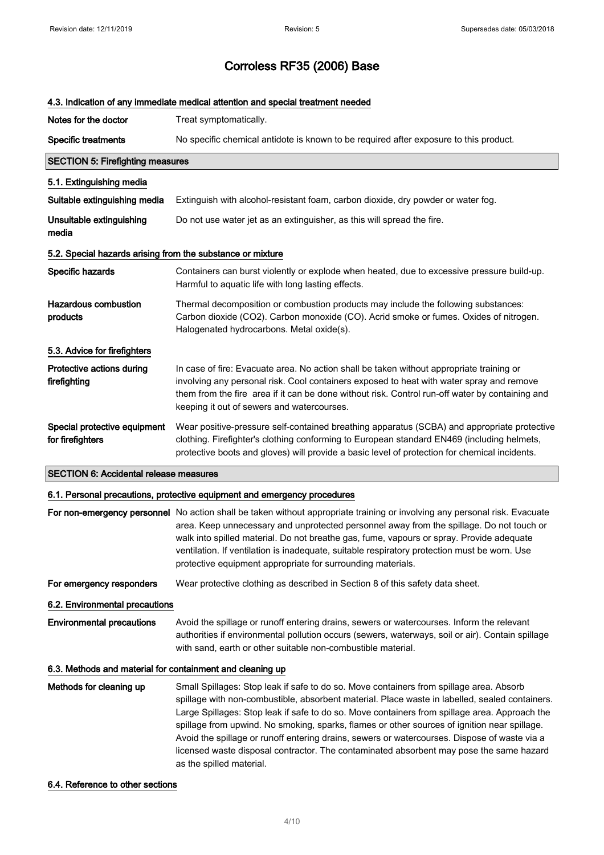|                                                            | 4.3. Indication of any immediate medical attention and special treatment needed                                                                                                                                                                                                                                                                                                                                                                                                                                                                                                                                   |  |
|------------------------------------------------------------|-------------------------------------------------------------------------------------------------------------------------------------------------------------------------------------------------------------------------------------------------------------------------------------------------------------------------------------------------------------------------------------------------------------------------------------------------------------------------------------------------------------------------------------------------------------------------------------------------------------------|--|
| Notes for the doctor                                       | Treat symptomatically.                                                                                                                                                                                                                                                                                                                                                                                                                                                                                                                                                                                            |  |
| <b>Specific treatments</b>                                 | No specific chemical antidote is known to be required after exposure to this product.                                                                                                                                                                                                                                                                                                                                                                                                                                                                                                                             |  |
| <b>SECTION 5: Firefighting measures</b>                    |                                                                                                                                                                                                                                                                                                                                                                                                                                                                                                                                                                                                                   |  |
| 5.1. Extinguishing media                                   |                                                                                                                                                                                                                                                                                                                                                                                                                                                                                                                                                                                                                   |  |
| Suitable extinguishing media                               | Extinguish with alcohol-resistant foam, carbon dioxide, dry powder or water fog.                                                                                                                                                                                                                                                                                                                                                                                                                                                                                                                                  |  |
| Unsuitable extinguishing<br>media                          | Do not use water jet as an extinguisher, as this will spread the fire.                                                                                                                                                                                                                                                                                                                                                                                                                                                                                                                                            |  |
| 5.2. Special hazards arising from the substance or mixture |                                                                                                                                                                                                                                                                                                                                                                                                                                                                                                                                                                                                                   |  |
| Specific hazards                                           | Containers can burst violently or explode when heated, due to excessive pressure build-up.<br>Harmful to aquatic life with long lasting effects.                                                                                                                                                                                                                                                                                                                                                                                                                                                                  |  |
| <b>Hazardous combustion</b><br>products                    | Thermal decomposition or combustion products may include the following substances:<br>Carbon dioxide (CO2). Carbon monoxide (CO). Acrid smoke or fumes. Oxides of nitrogen.<br>Halogenated hydrocarbons. Metal oxide(s).                                                                                                                                                                                                                                                                                                                                                                                          |  |
| 5.3. Advice for firefighters                               |                                                                                                                                                                                                                                                                                                                                                                                                                                                                                                                                                                                                                   |  |
| Protective actions during<br>firefighting                  | In case of fire: Evacuate area. No action shall be taken without appropriate training or<br>involving any personal risk. Cool containers exposed to heat with water spray and remove<br>them from the fire area if it can be done without risk. Control run-off water by containing and<br>keeping it out of sewers and watercourses.                                                                                                                                                                                                                                                                             |  |
| Special protective equipment<br>for firefighters           | Wear positive-pressure self-contained breathing apparatus (SCBA) and appropriate protective<br>clothing. Firefighter's clothing conforming to European standard EN469 (including helmets,<br>protective boots and gloves) will provide a basic level of protection for chemical incidents.                                                                                                                                                                                                                                                                                                                        |  |
| <b>SECTION 6: Accidental release measures</b>              |                                                                                                                                                                                                                                                                                                                                                                                                                                                                                                                                                                                                                   |  |
|                                                            | 6.1. Personal precautions, protective equipment and emergency procedures                                                                                                                                                                                                                                                                                                                                                                                                                                                                                                                                          |  |
|                                                            | For non-emergency personnel No action shall be taken without appropriate training or involving any personal risk. Evacuate<br>area. Keep unnecessary and unprotected personnel away from the spillage. Do not touch or<br>walk into spilled material. Do not breathe gas, fume, vapours or spray. Provide adequate<br>ventilation. If ventilation is inadequate, suitable respiratory protection must be worn. Use<br>protective equipment appropriate for surrounding materials.                                                                                                                                 |  |
| For emergency responders                                   | Wear protective clothing as described in Section 8 of this safety data sheet.                                                                                                                                                                                                                                                                                                                                                                                                                                                                                                                                     |  |
| 6.2. Environmental precautions                             |                                                                                                                                                                                                                                                                                                                                                                                                                                                                                                                                                                                                                   |  |
| <b>Environmental precautions</b>                           | Avoid the spillage or runoff entering drains, sewers or watercourses. Inform the relevant<br>authorities if environmental pollution occurs (sewers, waterways, soil or air). Contain spillage<br>with sand, earth or other suitable non-combustible material.                                                                                                                                                                                                                                                                                                                                                     |  |
| 6.3. Methods and material for containment and cleaning up  |                                                                                                                                                                                                                                                                                                                                                                                                                                                                                                                                                                                                                   |  |
| Methods for cleaning up                                    | Small Spillages: Stop leak if safe to do so. Move containers from spillage area. Absorb<br>spillage with non-combustible, absorbent material. Place waste in labelled, sealed containers.<br>Large Spillages: Stop leak if safe to do so. Move containers from spillage area. Approach the<br>spillage from upwind. No smoking, sparks, flames or other sources of ignition near spillage.<br>Avoid the spillage or runoff entering drains, sewers or watercourses. Dispose of waste via a<br>licensed waste disposal contractor. The contaminated absorbent may pose the same hazard<br>as the spilled material. |  |

6.4. Reference to other sections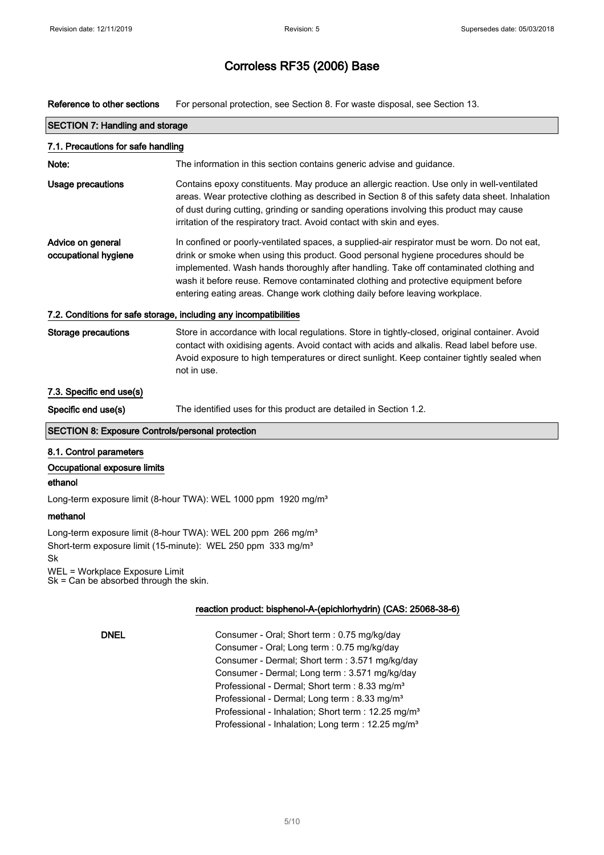Reference to other sections For personal protection, see Section 8. For waste disposal, see Section 13.

| <b>SECTION 7: Handling and storage</b>                            |                                                                                                                                                                                                                                                                                                                                                                                                                                                  |  |
|-------------------------------------------------------------------|--------------------------------------------------------------------------------------------------------------------------------------------------------------------------------------------------------------------------------------------------------------------------------------------------------------------------------------------------------------------------------------------------------------------------------------------------|--|
| 7.1. Precautions for safe handling                                |                                                                                                                                                                                                                                                                                                                                                                                                                                                  |  |
| Note:                                                             | The information in this section contains generic advise and guidance.                                                                                                                                                                                                                                                                                                                                                                            |  |
| Usage precautions                                                 | Contains epoxy constituents. May produce an allergic reaction. Use only in well-ventilated<br>areas. Wear protective clothing as described in Section 8 of this safety data sheet. Inhalation<br>of dust during cutting, grinding or sanding operations involving this product may cause<br>irritation of the respiratory tract. Avoid contact with skin and eyes.                                                                               |  |
| Advice on general<br>occupational hygiene                         | In confined or poorly-ventilated spaces, a supplied-air respirator must be worn. Do not eat,<br>drink or smoke when using this product. Good personal hygiene procedures should be<br>implemented. Wash hands thoroughly after handling. Take off contaminated clothing and<br>wash it before reuse. Remove contaminated clothing and protective equipment before<br>entering eating areas. Change work clothing daily before leaving workplace. |  |
| 7.2. Conditions for safe storage, including any incompatibilities |                                                                                                                                                                                                                                                                                                                                                                                                                                                  |  |
| <b>Storage precautions</b>                                        | Store in accordance with local regulations. Store in tightly-closed, original container. Avoid<br>contact with oxidising agents. Avoid contact with acids and alkalis. Read label before use.<br>Avoid exposure to high temperatures or direct sunlight. Keep container tightly sealed when<br>not in use.                                                                                                                                       |  |
| 7.3. Specific end use(s)                                          |                                                                                                                                                                                                                                                                                                                                                                                                                                                  |  |
| Specific end use(s)                                               | The identified uses for this product are detailed in Section 1.2.                                                                                                                                                                                                                                                                                                                                                                                |  |
| <b>SECTION 8: Exposure Controls/personal protection</b>           |                                                                                                                                                                                                                                                                                                                                                                                                                                                  |  |
| 8.1. Control parameters                                           |                                                                                                                                                                                                                                                                                                                                                                                                                                                  |  |
| Occupational exposure limits                                      |                                                                                                                                                                                                                                                                                                                                                                                                                                                  |  |

#### ethanol

Long-term exposure limit (8-hour TWA): WEL 1000 ppm 1920 mg/m<sup>3</sup>

#### methanol

Long-term exposure limit (8-hour TWA): WEL 200 ppm 266 mg/m<sup>3</sup> Short-term exposure limit (15-minute): WEL 250 ppm 333 mg/m<sup>3</sup> Sk WEL = Workplace Exposure Limit

Sk = Can be absorbed through the skin.

#### reaction product: bisphenol-A-(epichlorhydrin) (CAS: 25068-38-6)

DNEL Consumer - Oral; Short term : 0.75 mg/kg/day Consumer - Oral; Long term : 0.75 mg/kg/day Consumer - Dermal; Short term : 3.571 mg/kg/day Consumer - Dermal; Long term : 3.571 mg/kg/day Professional - Dermal; Short term : 8.33 mg/m<sup>3</sup> Professional - Dermal; Long term : 8.33 mg/m<sup>3</sup> Professional - Inhalation; Short term : 12.25 mg/m<sup>3</sup> Professional - Inhalation; Long term : 12.25 mg/m<sup>3</sup>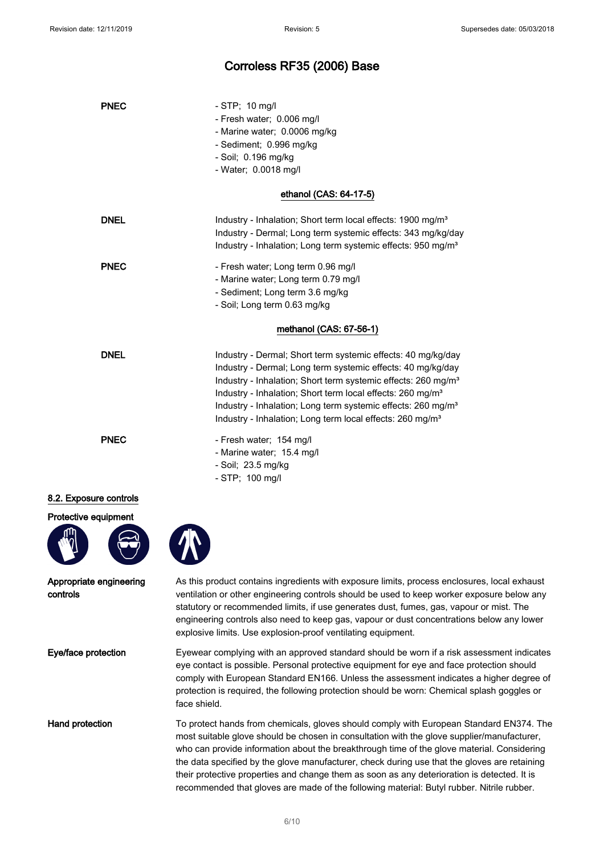# Corroless RF35 (2006) Base

| <b>PNEC</b>                         | $-$ STP; 10 mg/l<br>- Fresh water; 0.006 mg/l<br>- Marine water; 0.0006 mg/kg<br>- Sediment; 0.996 mg/kg<br>- Soil; 0.196 mg/kg<br>- Water; 0.0018 mg/l                                                                                                                                                                                                                                                                                            |
|-------------------------------------|----------------------------------------------------------------------------------------------------------------------------------------------------------------------------------------------------------------------------------------------------------------------------------------------------------------------------------------------------------------------------------------------------------------------------------------------------|
|                                     | ethanol (CAS: 64-17-5)                                                                                                                                                                                                                                                                                                                                                                                                                             |
| <b>DNEL</b>                         | Industry - Inhalation; Short term local effects: 1900 mg/m <sup>3</sup><br>Industry - Dermal; Long term systemic effects: 343 mg/kg/day<br>Industry - Inhalation; Long term systemic effects: 950 mg/m <sup>3</sup>                                                                                                                                                                                                                                |
| <b>PNEC</b>                         | - Fresh water; Long term 0.96 mg/l<br>- Marine water; Long term 0.79 mg/l<br>- Sediment; Long term 3.6 mg/kg<br>- Soil; Long term 0.63 mg/kg                                                                                                                                                                                                                                                                                                       |
|                                     | methanol (CAS: 67-56-1)                                                                                                                                                                                                                                                                                                                                                                                                                            |
| <b>DNEL</b>                         | Industry - Dermal; Short term systemic effects: 40 mg/kg/day<br>Industry - Dermal; Long term systemic effects: 40 mg/kg/day<br>Industry - Inhalation; Short term systemic effects: 260 mg/m <sup>3</sup><br>Industry - Inhalation; Short term local effects: 260 mg/m <sup>3</sup><br>Industry - Inhalation; Long term systemic effects: 260 mg/m <sup>3</sup><br>Industry - Inhalation; Long term local effects: 260 mg/m <sup>3</sup>            |
| <b>PNEC</b>                         | - Fresh water; 154 mg/l<br>- Marine water; 15.4 mg/l<br>- Soil; 23.5 mg/kg<br>- STP; 100 mg/l                                                                                                                                                                                                                                                                                                                                                      |
| 8.2. Exposure controls              |                                                                                                                                                                                                                                                                                                                                                                                                                                                    |
| Protective equipment                |                                                                                                                                                                                                                                                                                                                                                                                                                                                    |
| Appropriate engineering<br>controls | As this product contains ingredients with exposure limits, process enclosures, local exhaust<br>ventilation or other engineering controls should be used to keep worker exposure below any<br>statutory or recommended limits, if use generates dust, fumes, gas, vapour or mist. The<br>engineering controls also need to keep gas, vapour or dust concentrations below any lower<br>explosive limits. Use explosion-proof ventilating equipment. |
| Eye/face protection                 | Eyewear complying with an approved standard should be worn if a risk assessment indicates<br>eye contact is possible. Personal protective equipment for eye and face protection should<br>comply with European Standard EN166. Unless the assessment indicates a higher degree of<br>protection is required, the following protection should be worn: Chemical splash goggles or<br>face shield.                                                   |
| Hand protection                     | To protect hands from chemicals, gloves should comply with European Standard EN374. The<br>most suitable glove should be chosen in consultation with the glove supplier/manufacturer,<br>who can provide information about the breakthrough time of the glove material. Considering                                                                                                                                                                |

the data specified by the glove manufacturer, check during use that the gloves are retaining their protective properties and change them as soon as any deterioration is detected. It is recommended that gloves are made of the following material: Butyl rubber. Nitrile rubber.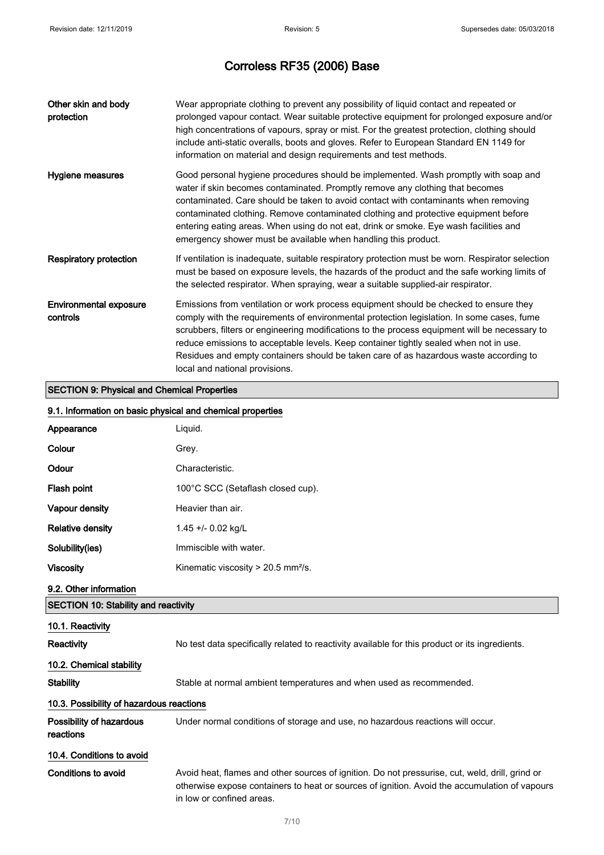| Other skin and body<br>protection                  | Wear appropriate clothing to prevent any possibility of liquid contact and repeated or<br>prolonged vapour contact. Wear suitable protective equipment for prolonged exposure and/or<br>high concentrations of vapours, spray or mist. For the greatest protection, clothing should<br>include anti-static overalls, boots and gloves. Refer to European Standard EN 1149 for<br>information on material and design requirements and test methods.                                                            |
|----------------------------------------------------|---------------------------------------------------------------------------------------------------------------------------------------------------------------------------------------------------------------------------------------------------------------------------------------------------------------------------------------------------------------------------------------------------------------------------------------------------------------------------------------------------------------|
| Hygiene measures                                   | Good personal hygiene procedures should be implemented. Wash promptly with soap and<br>water if skin becomes contaminated. Promptly remove any clothing that becomes<br>contaminated. Care should be taken to avoid contact with contaminants when removing<br>contaminated clothing. Remove contaminated clothing and protective equipment before<br>entering eating areas. When using do not eat, drink or smoke. Eye wash facilities and<br>emergency shower must be available when handling this product. |
| <b>Respiratory protection</b>                      | If ventilation is inadequate, suitable respiratory protection must be worn. Respirator selection<br>must be based on exposure levels, the hazards of the product and the safe working limits of<br>the selected respirator. When spraying, wear a suitable supplied-air respirator.                                                                                                                                                                                                                           |
| <b>Environmental exposure</b><br>controls          | Emissions from ventilation or work process equipment should be checked to ensure they<br>comply with the requirements of environmental protection legislation. In some cases, fume<br>scrubbers, filters or engineering modifications to the process equipment will be necessary to<br>reduce emissions to acceptable levels. Keep container tightly sealed when not in use.<br>Residues and empty containers should be taken care of as hazardous waste according to<br>local and national provisions.       |
| <b>SECTION 9: Physical and Chemical Properties</b> |                                                                                                                                                                                                                                                                                                                                                                                                                                                                                                               |

# 9.1. Information on basic physical and chemical properties Appearance Liquid. Colour Grey. Odour Characteristic. Flash point 100°C SCC (Setaflash closed cup). Vapour density **Heavier than air.** Relative density 1.45 +/- 0.02 kg/L Solubility(ies) **Immiscible with water.** Viscosity **Kinematic viscosity > 20.5 mm<sup>2</sup>/s.** 9.2. Other information SECTION 10: Stability and reactivity 10.1. Reactivity Reactivity No test data specifically related to reactivity available for this product or its ingredients. 10.2. Chemical stability Stability Stable at normal ambient temperatures and when used as recommended. 10.3. Possibility of hazardous reactions Possibility of hazardous reactions Under normal conditions of storage and use, no hazardous reactions will occur. 10.4. Conditions to avoid Conditions to avoid **Avoid heat, flames and other sources of ignition**. Do not pressurise, cut, weld, drill, grind or otherwise expose containers to heat or sources of ignition. Avoid the accumulation of vapours in low or confined areas.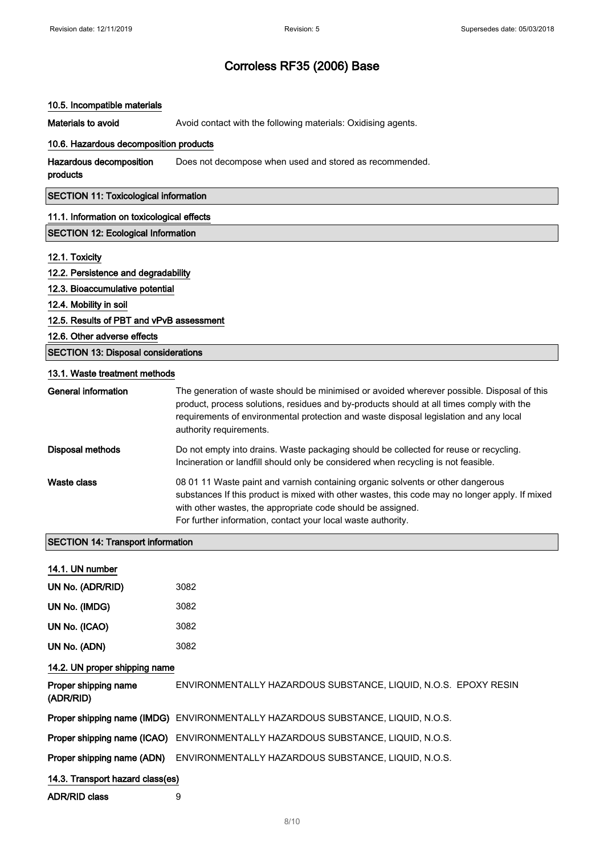#### 10.5. Incompatible materials

Materials to avoid **Avoid contact with the following materials: Oxidising agents.** 

#### 10.6. Hazardous decomposition products

| Hazardous decomposition            | Does not decompose when used and stored as recommended. |
|------------------------------------|---------------------------------------------------------|
| and and a state of the contract of |                                                         |

products

#### SECTION 11: Toxicological information

#### 11.1. Information on toxicological effects

#### SECTION 12: Ecological Information

#### 12.1. Toxicity

|  |  |  | 12.2. Persistence and degradability |
|--|--|--|-------------------------------------|
|--|--|--|-------------------------------------|

#### 12.3. Bioaccumulative potential

12.4. Mobility in soil

#### 12.5. Results of PBT and vPvB assessment

12.6. Other adverse effects

#### SECTION 13: Disposal considerations

#### 13.1. Waste treatment methods

| General information | The generation of waste should be minimised or avoided wherever possible. Disposal of this<br>product, process solutions, residues and by-products should at all times comply with the<br>requirements of environmental protection and waste disposal legislation and any local<br>authority requirements.       |
|---------------------|------------------------------------------------------------------------------------------------------------------------------------------------------------------------------------------------------------------------------------------------------------------------------------------------------------------|
| Disposal methods    | Do not empty into drains. Waste packaging should be collected for reuse or recycling.<br>Incineration or landfill should only be considered when recycling is not feasible.                                                                                                                                      |
| Waste class         | 08 01 11 Waste paint and varnish containing organic solvents or other dangerous<br>substances If this product is mixed with other wastes, this code may no longer apply. If mixed<br>with other wastes, the appropriate code should be assigned.<br>For further information, contact your local waste authority. |

#### SECTION 14: Transport information

| 14.1. UN number                   |                                                                                        |  |
|-----------------------------------|----------------------------------------------------------------------------------------|--|
| UN No. (ADR/RID)                  | 3082                                                                                   |  |
| UN No. (IMDG)                     | 3082                                                                                   |  |
| UN No. (ICAO)                     | 3082                                                                                   |  |
| UN No. (ADN)                      | 3082                                                                                   |  |
| 14.2. UN proper shipping name     |                                                                                        |  |
| Proper shipping name<br>(ADR/RID) | ENVIRONMENTALLY HAZARDOUS SUBSTANCE, LIQUID, N.O.S. EPOXY RESIN                        |  |
|                                   | Proper shipping name (IMDG) ENVIRONMENTALLY HAZARDOUS SUBSTANCE, LIQUID, N.O.S.        |  |
|                                   | <b>Proper shipping name (ICAO)</b> ENVIRONMENTALLY HAZARDOUS SUBSTANCE, LIQUID, N.O.S. |  |
| Proper shipping name (ADN)        | ENVIRONMENTALLY HAZARDOUS SUBSTANCE, LIQUID, N.O.S.                                    |  |
| 14.3. Transport hazard class(es)  |                                                                                        |  |
| ADR/RID class                     | 9                                                                                      |  |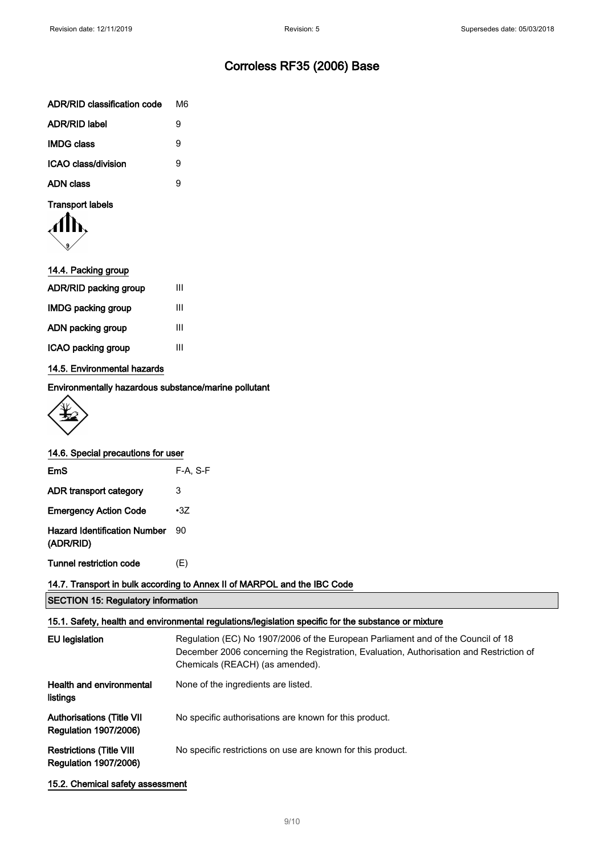| ADR/RID classification code | M6. |
|-----------------------------|-----|
| <b>ADR/RID label</b>        | я   |
| <b>IMDG class</b>           | я   |
| <b>ICAO class/division</b>  | я   |
| ADN class                   | g   |

#### Transport labels

| 14.4. Packing group       |   |
|---------------------------|---|
| ADR/RID packing group     | Ш |
| <b>IMDG packing group</b> | Ш |
| ADN packing group         | Ш |
| ICAO packing group        | Ш |
|                           |   |

#### 14.5. Environmental hazards

Environmentally hazardous substance/marine pollutant



|  | 14.6. Special precautions for user |  |
|--|------------------------------------|--|
|  |                                    |  |

| EmS                                              | $F-A. S-F$ |
|--------------------------------------------------|------------|
| ADR transport category                           | 3          |
| <b>Emergency Action Code</b>                     | $\cdot 37$ |
| <b>Hazard Identification Number</b><br>(ADR/RID) | 90         |
| <b>Tunnel restriction code</b>                   | (E)        |

#### 14.7. Transport in bulk according to Annex II of MARPOL and the IBC Code

|  |  |  | <b>SECTION 15: Regulatory information</b> |
|--|--|--|-------------------------------------------|
|--|--|--|-------------------------------------------|

#### 15.1. Safety, health and environmental regulations/legislation specific for the substance or mixture

| <b>EU</b> legislation                                           | Regulation (EC) No 1907/2006 of the European Parliament and of the Council of 18<br>December 2006 concerning the Registration, Evaluation, Authorisation and Restriction of<br>Chemicals (REACH) (as amended). |
|-----------------------------------------------------------------|----------------------------------------------------------------------------------------------------------------------------------------------------------------------------------------------------------------|
| Health and environmental<br>listings                            | None of the ingredients are listed.                                                                                                                                                                            |
| Authorisations (Title VII<br><b>Regulation 1907/2006)</b>       | No specific authorisations are known for this product.                                                                                                                                                         |
| <b>Restrictions (Title VIII</b><br><b>Regulation 1907/2006)</b> | No specific restrictions on use are known for this product.                                                                                                                                                    |

15.2. Chemical safety assessment